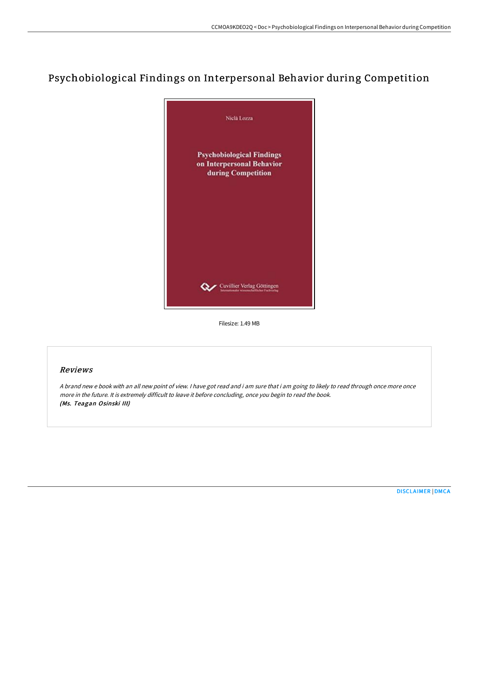# Psychobiological Findings on Interpersonal Behavior during Competition



Filesize: 1.49 MB

## Reviews

<sup>A</sup> brand new <sup>e</sup> book with an all new point of view. <sup>I</sup> have got read and i am sure that i am going to likely to read through once more once more in the future. It is extremely difficult to leave it before concluding, once you begin to read the book. (Ms. Teagan Osinski III)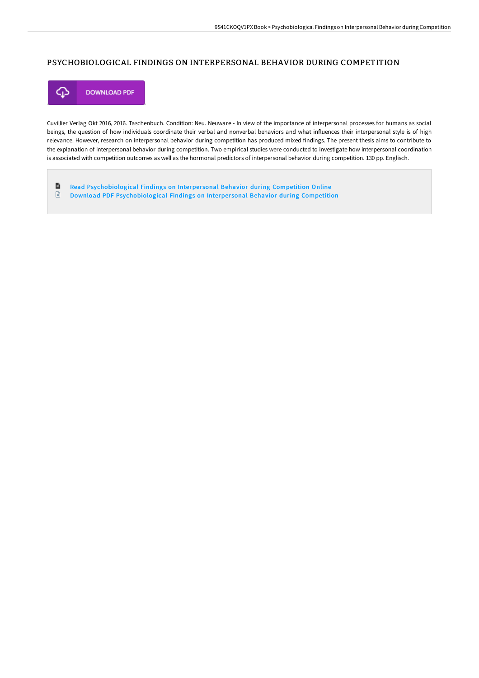### PSYCHOBIOLOGICAL FINDINGS ON INTERPERSONAL BEHAVIOR DURING COMPETITION



Cuvillier Verlag Okt 2016, 2016. Taschenbuch. Condition: Neu. Neuware - In view of the importance of interpersonal processes for humans as social beings, the question of how individuals coordinate their verbal and nonverbal behaviors and what influences their interpersonal style is of high relevance. However, research on interpersonal behavior during competition has produced mixed findings. The present thesis aims to contribute to the explanation of interpersonal behavior during competition. Two empirical studies were conducted to investigate how interpersonal coordination is associated with competition outcomes as well as the hormonal predictors of interpersonal behavior during competition. 130 pp. Englisch.

自 Read [Psychobiological](http://techno-pub.tech/psychobiological-findings-on-interpersonal-behav.html) Findings on Interper sonal Behavior during Competition Online  $\begin{array}{c} \hline \end{array}$ Download PDF [Psychobiological](http://techno-pub.tech/psychobiological-findings-on-interpersonal-behav.html) Findings on Interper sonal Behavior during Competition